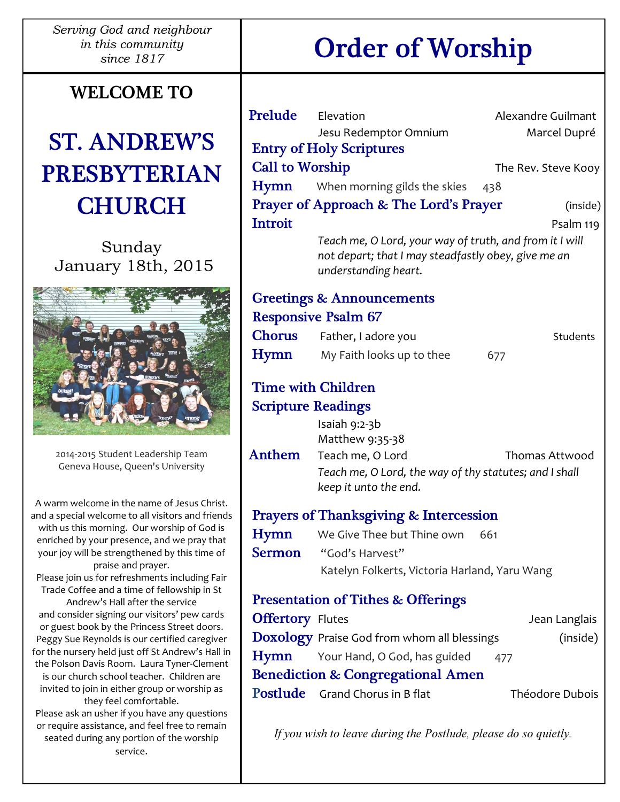Serving God and neighbour in this community

### WELCOME TO

## ST. ANDREW'S PRESBYTERIAN **CHURCH**

Sunday January 18th, 2015



2014-2015 Student Leadership Team Geneva House, Queen's University

A warm welcome in the name of Jesus Christ. and a special welcome to all visitors and friends with us this morning. Our worship of God is enriched by your presence, and we pray that your joy will be strengthened by this time of praise and prayer. Please join us for refreshments including Fair Trade Coffee and a time of fellowship in St Andrew's Hall after the service and consider signing our visitors' pew cards or guest book by the Princess Street doors. Peggy Sue Reynolds is our certified caregiver for the nursery held just off St Andrew's Hall in the Polson Davis Room. Laura Tyner-Clement is our church school teacher. Children are invited to join in either group or worship as they feel comfortable. Please ask an usher if you have any questions or require assistance, and feel free to remain seated during any portion of the worship

service.

**Prelude** Elevation **Alexandre Guilmant** Jesu Redemptor Omnium Marcel Dupré Entry of Holy Scriptures Call to Worship The Rev. Steve Kooy Hymn When morning gilds the skies 438 Prayer of Approach & The Lord's Prayer (inside) **Introit** Psalm 119 Teach me, O Lord, your way of truth, and from it I will not depart; that I may steadfastly obey, give me an understanding heart. Greetings & Announcements Responsive Psalm 67 Chorus Father, I adore you Students Hymn My Faith looks up to thee 677 Time with Children Scripture Readings Isaiah 9:2-3b Matthew 9:35-38 Anthem Teach me, O Lord Thomas Attwood Teach me, O Lord, the way of thy statutes; and I shall keep it unto the end. Prayers of Thanksgiving & Intercession Hymn We Give Thee but Thine own 661 Sermon "God's Harvest" Katelyn Folkerts, Victoria Harland, Yaru Wang Presentation of Tithes & Offerings **Offertory** Flutes **Jean Langlais Doxology** Praise God from whom all blessings (inside)

Benediction & Congregational Amen **Postlude** Grand Chorus in B flat Théodore Dubois

 $Hymn$  Your Hand, O God, has guided 477

If you wish to leave during the Postlude, please do so quietly.

# since 1817 Order of Worship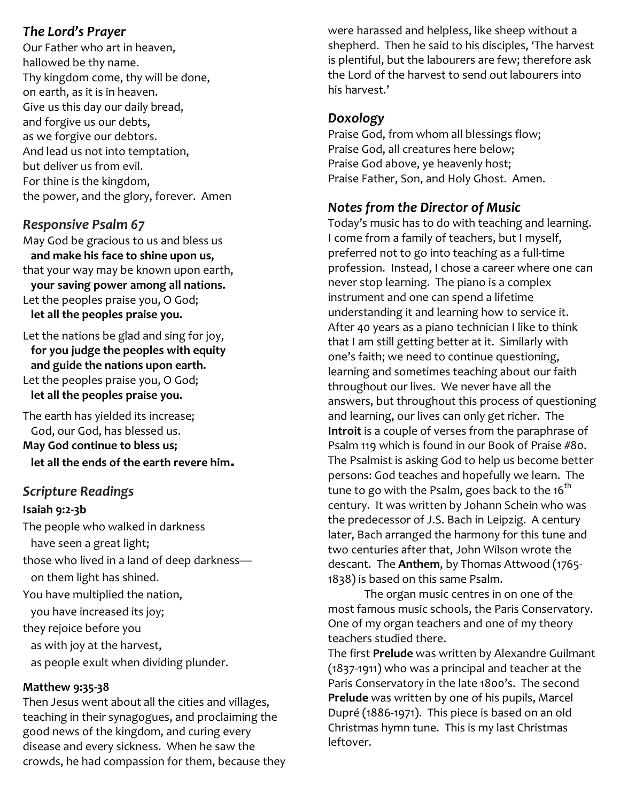#### The Lord's Prayer

Our Father who art in heaven, hallowed be thy name. Thy kingdom come, thy will be done, on earth, as it is in heaven. Give us this day our daily bread, and forgive us our debts, as we forgive our debtors. And lead us not into temptation, but deliver us from evil. For thine is the kingdom, the power, and the glory, forever. Amen

#### Responsive Psalm 67

May God be gracious to us and bless us and make his face to shine upon us, that your way may be known upon earth, your saving power among all nations. Let the peoples praise you, O God; let all the peoples praise you.

Let the nations be glad and sing for joy, for you judge the peoples with equity and guide the nations upon earth. Let the peoples praise you, O God; let all the peoples praise you.

The earth has yielded its increase; God, our God, has blessed us. May God continue to bless us; let all the ends of the earth revere him.

#### Scripture Readings

#### Isaiah 9:2-3b

The people who walked in darkness have seen a great light; those who lived in a land of deep darkness on them light has shined. You have multiplied the nation, you have increased its joy; they rejoice before you as with joy at the harvest, as people exult when dividing plunder.

#### Matthew 9:35-38

Then Jesus went about all the cities and villages, teaching in their synagogues, and proclaiming the good news of the kingdom, and curing every disease and every sickness. When he saw the crowds, he had compassion for them, because they were harassed and helpless, like sheep without a shepherd. Then he said to his disciples, 'The harvest is plentiful, but the labourers are few; therefore ask the Lord of the harvest to send out labourers into his harvest.'

#### Doxology

Praise God, from whom all blessings flow; Praise God, all creatures here below; Praise God above, ye heavenly host; Praise Father, Son, and Holy Ghost. Amen.

#### Notes from the Director of Music

Today's music has to do with teaching and learning. I come from a family of teachers, but I myself, preferred not to go into teaching as a full-time profession. Instead, I chose a career where one can never stop learning. The piano is a complex instrument and one can spend a lifetime understanding it and learning how to service it. After 40 years as a piano technician I like to think that I am still getting better at it. Similarly with one's faith; we need to continue questioning, learning and sometimes teaching about our faith throughout our lives. We never have all the answers, but throughout this process of questioning and learning, our lives can only get richer. The Introit is a couple of verses from the paraphrase of Psalm 119 which is found in our Book of Praise #80. The Psalmist is asking God to help us become better persons: God teaches and hopefully we learn. The tune to go with the Psalm, goes back to the  $16<sup>th</sup>$ century. It was written by Johann Schein who was the predecessor of J.S. Bach in Leipzig. A century later, Bach arranged the harmony for this tune and two centuries after that, John Wilson wrote the descant. The Anthem, by Thomas Attwood (1765-1838) is based on this same Psalm.

 The organ music centres in on one of the most famous music schools, the Paris Conservatory. One of my organ teachers and one of my theory teachers studied there.

The first Prelude was written by Alexandre Guilmant (1837-1911) who was a principal and teacher at the Paris Conservatory in the late 1800's. The second Prelude was written by one of his pupils, Marcel Dupré (1886-1971). This piece is based on an old Christmas hymn tune. This is my last Christmas leftover.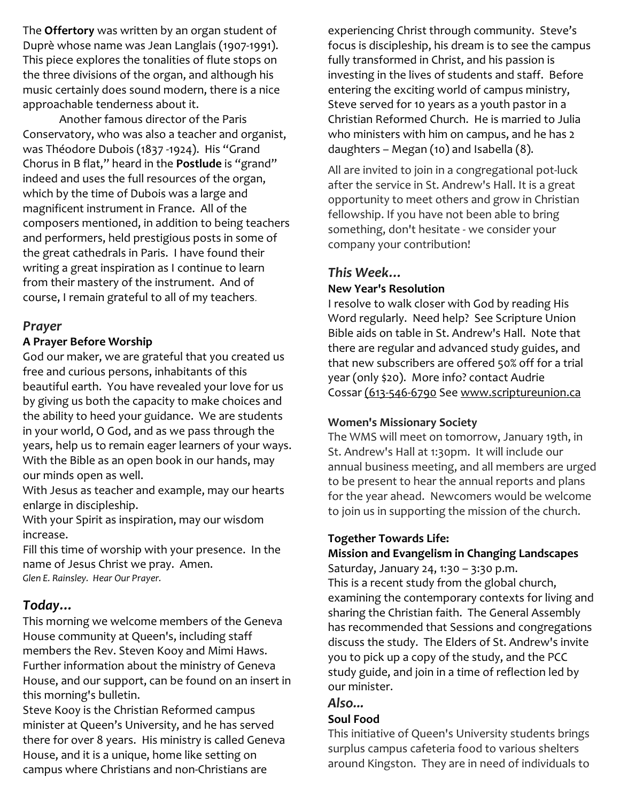The Offertory was written by an organ student of Duprè whose name was Jean Langlais (1907-1991). This piece explores the tonalities of flute stops on the three divisions of the organ, and although his music certainly does sound modern, there is a nice approachable tenderness about it.

 Another famous director of the Paris Conservatory, who was also a teacher and organist, was Théodore Dubois (1837 -1924). His "Grand Chorus in B flat," heard in the Postlude is "grand" indeed and uses the full resources of the organ, which by the time of Dubois was a large and magnificent instrument in France. All of the composers mentioned, in addition to being teachers and performers, held prestigious posts in some of the great cathedrals in Paris. I have found their writing a great inspiration as I continue to learn from their mastery of the instrument. And of course, I remain grateful to all of my teachers.

#### Prayer

#### A Prayer Before Worship

God our maker, we are grateful that you created us free and curious persons, inhabitants of this beautiful earth. You have revealed your love for us by giving us both the capacity to make choices and the ability to heed your guidance. We are students in your world, O God, and as we pass through the years, help us to remain eager learners of your ways. With the Bible as an open book in our hands, may our minds open as well.

With Jesus as teacher and example, may our hearts enlarge in discipleship.

With your Spirit as inspiration, may our wisdom increase.

Fill this time of worship with your presence. In the name of Jesus Christ we pray. Amen. Glen E. Rainsley. Hear Our Prayer.

#### Today…

This morning we welcome members of the Geneva House community at Queen's, including staff members the Rev. Steven Kooy and Mimi Haws. Further information about the ministry of Geneva House, and our support, can be found on an insert in this morning's bulletin.

Steve Kooy is the Christian Reformed campus minister at Queen's University, and he has served there for over 8 years. His ministry is called Geneva House, and it is a unique, home like setting on campus where Christians and non-Christians are

experiencing Christ through community. Steve's focus is discipleship, his dream is to see the campus fully transformed in Christ, and his passion is investing in the lives of students and staff. Before entering the exciting world of campus ministry, Steve served for 10 years as a youth pastor in a Christian Reformed Church. He is married to Julia who ministers with him on campus, and he has 2 daughters – Megan (10) and Isabella (8).

All are invited to join in a congregational pot-luck after the service in St. Andrew's Hall. It is a great opportunity to meet others and grow in Christian fellowship. If you have not been able to bring something, don't hesitate - we consider your company your contribution!

#### This Week…

#### New Year's Resolution

I resolve to walk closer with God by reading His Word regularly. Need help? See Scripture Union Bible aids on table in St. Andrew's Hall. Note that there are regular and advanced study guides, and that new subscribers are offered 50% off for a trial year (only \$20). More info? contact Audrie Cossar (613-546-6790 See www.scriptureunion.ca

#### Women's Missionary Society

The WMS will meet on tomorrow, January 19th, in St. Andrew's Hall at 1:30pm. It will include our annual business meeting, and all members are urged to be present to hear the annual reports and plans for the year ahead. Newcomers would be welcome to join us in supporting the mission of the church.

#### Together Towards Life:

#### Mission and Evangelism in Changing Landscapes Saturday, January 24, 1:30 – 3:30 p.m.

This is a recent study from the global church, examining the contemporary contexts for living and sharing the Christian faith. The General Assembly has recommended that Sessions and congregations discuss the study. The Elders of St. Andrew's invite you to pick up a copy of the study, and the PCC study guide, and join in a time of reflection led by our minister.

#### Also...

#### Soul Food

This initiative of Queen's University students brings surplus campus cafeteria food to various shelters around Kingston. They are in need of individuals to